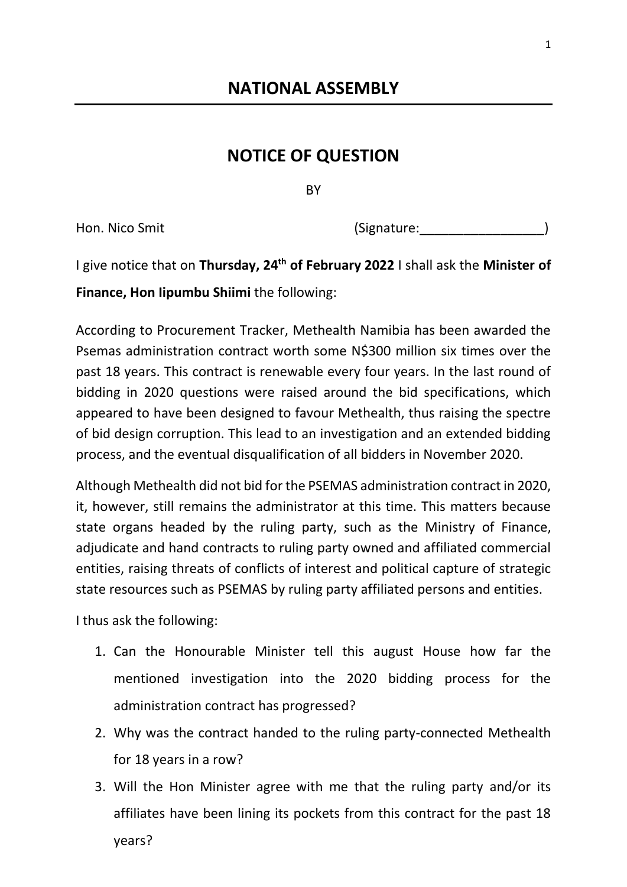## **NOTICE OF QUESTION**

**BY** 

Hon. Nico Smit et al. (Signature:

I give notice that on **Thursday, 24th of February 2022** I shall ask the **Minister of Finance, Hon Iipumbu Shiimi** the following:

According to Procurement Tracker, Methealth Namibia has been awarded the Psemas administration contract worth some N\$300 million six times over the past 18 years. This contract is renewable every four years. In the last round of bidding in 2020 questions were raised around the bid specifications, which appeared to have been designed to favour Methealth, thus raising the spectre of bid design corruption. This lead to an investigation and an extended bidding process, and the eventual disqualification of all bidders in November 2020.

Although Methealth did not bid for the PSEMAS administration contract in 2020, it, however, still remains the administrator at this time. This matters because state organs headed by the ruling party, such as the Ministry of Finance, adjudicate and hand contracts to ruling party owned and affiliated commercial entities, raising threats of conflicts of interest and political capture of strategic state resources such as PSEMAS by ruling party affiliated persons and entities.

I thus ask the following:

- 1. Can the Honourable Minister tell this august House how far the mentioned investigation into the 2020 bidding process for the administration contract has progressed?
- 2. Why was the contract handed to the ruling party-connected Methealth for 18 years in a row?
- 3. Will the Hon Minister agree with me that the ruling party and/or its affiliates have been lining its pockets from this contract for the past 18 years?